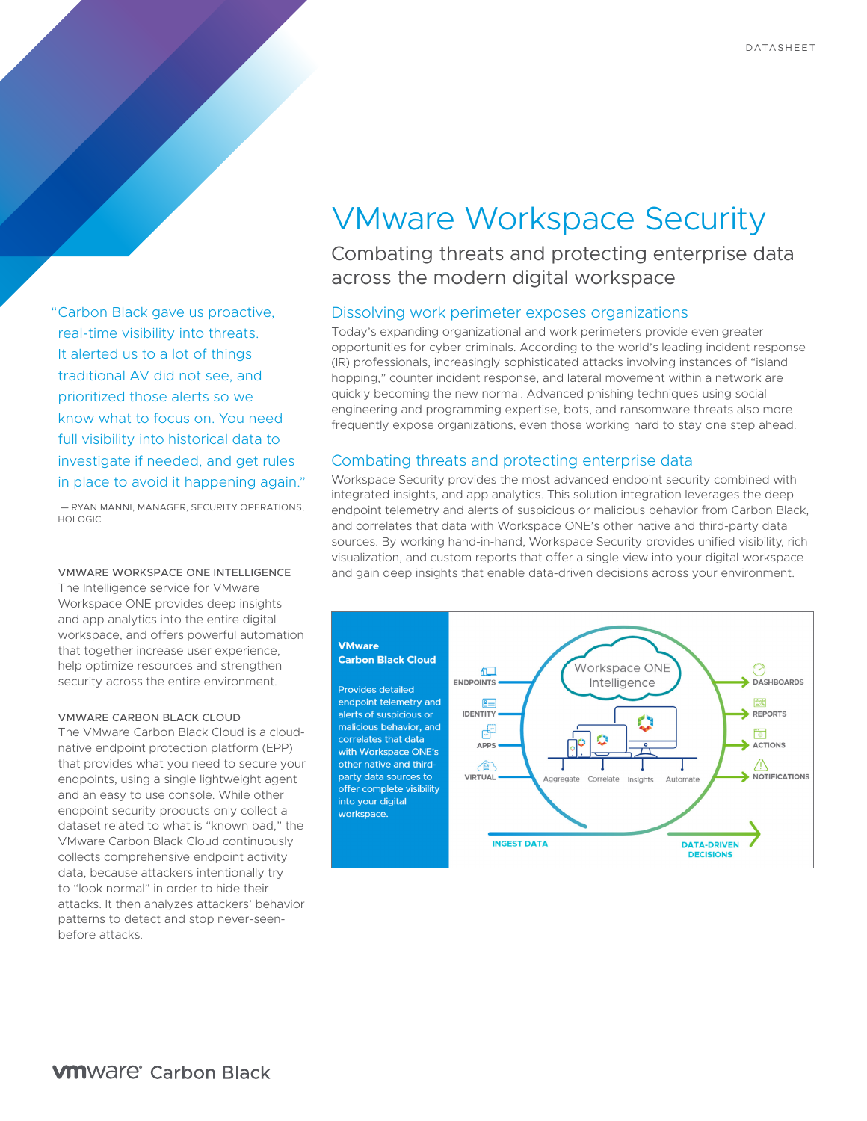# "Carbon Black gave us proactive, real-time visibility into threats. It alerted us to a lot of things traditional AV did not see, and prioritized those alerts so we know what to focus on. You need full visibility into historical data to investigate if needed, and get rules in place to avoid it happening again."

 — RYAN MANNI, MANAGER, SECURITY OPERATIONS, HOLOGIC

VMWARE WORKSPACE ONE INTELLIGENCE The Intelligence service for VMware Workspace ONE provides deep insights and app analytics into the entire digital workspace, and offers powerful automation that together increase user experience, help optimize resources and strengthen security across the entire environment.

#### VMWARE CARBON BLACK CLOUD

The VMware Carbon Black Cloud is a cloudnative endpoint protection platform (EPP) that provides what you need to secure your endpoints, using a single lightweight agent and an easy to use console. While other endpoint security products only collect a dataset related to what is "known bad," the VMware Carbon Black Cloud continuously collects comprehensive endpoint activity data, because attackers intentionally try to "look normal" in order to hide their attacks. It then analyzes attackers' behavior patterns to detect and stop never-seenbefore attacks.

# VMware Workspace Security

Combating threats and protecting enterprise data across the modern digital workspace

## Dissolving work perimeter exposes organizations

Today's expanding organizational and work perimeters provide even greater opportunities for cyber criminals. According to the world's leading incident response (IR) professionals, increasingly sophisticated attacks involving instances of "island hopping," counter incident response, and lateral movement within a network are quickly becoming the new normal. Advanced phishing techniques using social engineering and programming expertise, bots, and ransomware threats also more frequently expose organizations, even those working hard to stay one step ahead.

#### Combating threats and protecting enterprise data

Workspace Security provides the most advanced endpoint security combined with integrated insights, and app analytics. This solution integration leverages the deep endpoint telemetry and alerts of suspicious or malicious behavior from Carbon Black, and correlates that data with Workspace ONE's other native and third-party data sources. By working hand-in-hand, Workspace Security provides unified visibility, rich visualization, and custom reports that offer a single view into your digital workspace and gain deep insights that enable data-driven decisions across your environment.